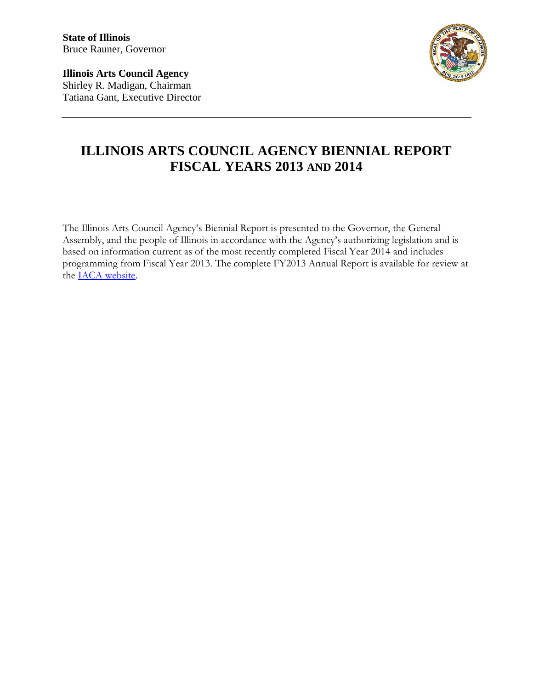**State of Illinois** Bruce Rauner, Governor

**Illinois Arts Council Agency** Shirley R. Madigan, Chairman Tatiana Gant, Executive Director



# **ILLINOIS ARTS COUNCIL AGENCY BIENNIAL REPORT FISCAL YEARS 2013 AND 2014**

The Illinois Arts Council Agency's Biennial Report is presented to the Governor, the General Assembly, and the people of Illinois in accordance with the Agency's authorizing legislation and is based on information current as of the most recently completed Fiscal Year 2014 and includes programming from Fiscal Year 2013. The complete FY2013 Annual Report is available for review at the [IACA website.](http://www.arts.illinois.gov/annual-report)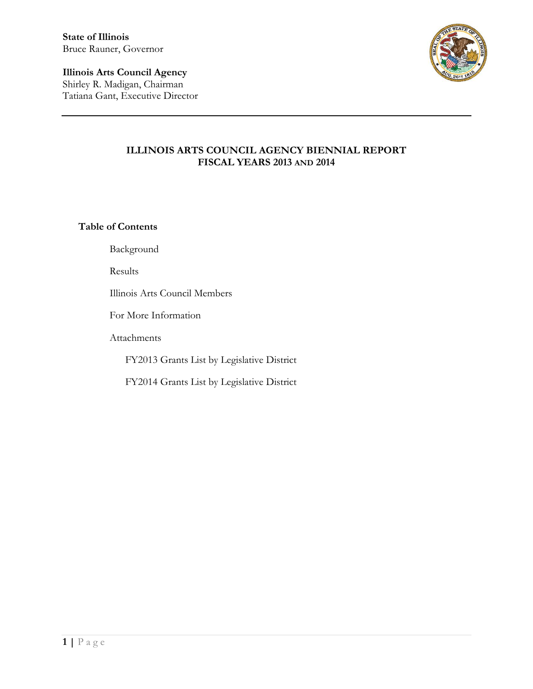**State of Illinois** Bruce Rauner, Governor

**Illinois Arts Council Agency** Shirley R. Madigan, Chairman Tatiana Gant, Executive Director



### **ILLINOIS ARTS COUNCIL AGENCY BIENNIAL REPORT FISCAL YEARS 2013 AND 2014**

**Table of Contents**

Background

Results

Illinois Arts Council Members

For More Information

Attachments

FY2013 Grants List by Legislative District

FY2014 Grants List by Legislative District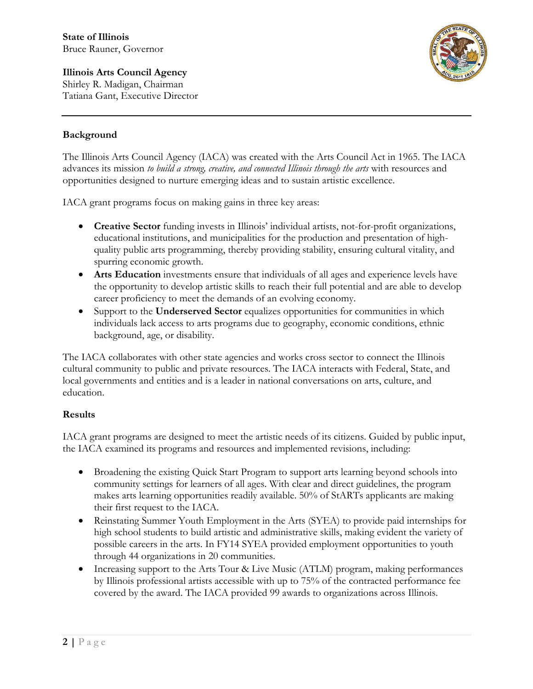**Illinois Arts Council Agency** Shirley R. Madigan, Chairman Tatiana Gant, Executive Director



### **Background**

The Illinois Arts Council Agency (IACA) was created with the Arts Council Act in 1965. The IACA advances its mission *to build a strong, creative, and connected Illinois through the arts* with resources and opportunities designed to nurture emerging ideas and to sustain artistic excellence.

IACA grant programs focus on making gains in three key areas:

- **Creative Sector** funding invests in Illinois' individual artists, not-for-profit organizations, educational institutions, and municipalities for the production and presentation of highquality public arts programming, thereby providing stability, ensuring cultural vitality, and spurring economic growth.
- **Arts Education** investments ensure that individuals of all ages and experience levels have the opportunity to develop artistic skills to reach their full potential and are able to develop career proficiency to meet the demands of an evolving economy.
- Support to the **Underserved Sector** equalizes opportunities for communities in which individuals lack access to arts programs due to geography, economic conditions, ethnic background, age, or disability.

The IACA collaborates with other state agencies and works cross sector to connect the Illinois cultural community to public and private resources. The IACA interacts with Federal, State, and local governments and entities and is a leader in national conversations on arts, culture, and education.

### **Results**

IACA grant programs are designed to meet the artistic needs of its citizens. Guided by public input, the IACA examined its programs and resources and implemented revisions, including:

- Broadening the existing Quick Start Program to support arts learning beyond schools into community settings for learners of all ages. With clear and direct guidelines, the program makes arts learning opportunities readily available. 50% of StARTs applicants are making their first request to the IACA.
- Reinstating Summer Youth Employment in the Arts (SYEA) to provide paid internships for high school students to build artistic and administrative skills, making evident the variety of possible careers in the arts. In FY14 SYEA provided employment opportunities to youth through 44 organizations in 20 communities.
- Increasing support to the Arts Tour & Live Music (ATLM) program, making performances by Illinois professional artists accessible with up to 75% of the contracted performance fee covered by the award. The IACA provided 99 awards to organizations across Illinois.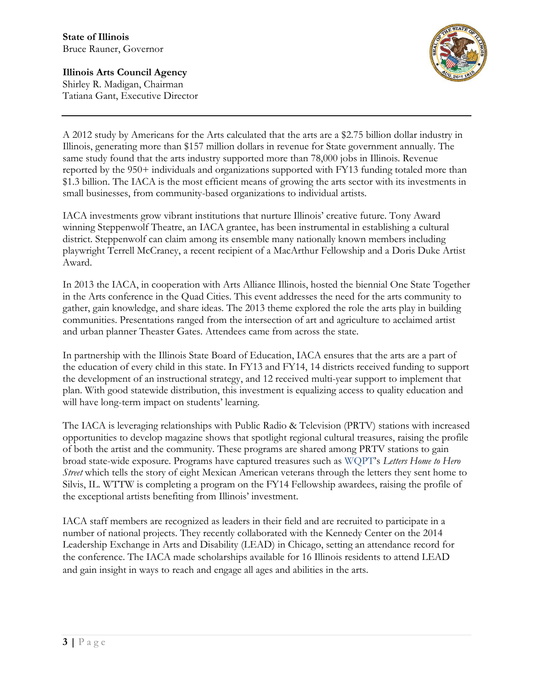**Illinois Arts Council Agency** Shirley R. Madigan, Chairman Tatiana Gant, Executive Director

A 2012 study by Americans for the Arts calculated that the arts are a \$2.75 billion dollar industry in Illinois, generating more than \$157 million dollars in revenue for State government annually. The same study found that the arts industry supported more than 78,000 jobs in Illinois. Revenue reported by the 950+ individuals and organizations supported with FY13 funding totaled more than \$1.3 billion. The IACA is the most efficient means of growing the arts sector with its investments in small businesses, from community-based organizations to individual artists.

IACA investments grow vibrant institutions that nurture Illinois' creative future. Tony Award winning Steppenwolf Theatre, an IACA grantee, has been instrumental in establishing a cultural district. Steppenwolf can claim among its ensemble many nationally known members including playwright Terrell McCraney, a recent recipient of a MacArthur Fellowship and a Doris Duke Artist Award.

In 2013 the IACA, in cooperation with Arts Alliance Illinois, hosted the biennial One State Together in the Arts conference in the Quad Cities. This event addresses the need for the arts community to gather, gain knowledge, and share ideas. The 2013 theme explored the role the arts play in building communities. Presentations ranged from the intersection of art and agriculture to acclaimed artist and urban planner Theaster Gates. Attendees came from across the state.

In partnership with the Illinois State Board of Education, IACA ensures that the arts are a part of the education of every child in this state. In FY13 and FY14, 14 districts received funding to support the development of an instructional strategy, and 12 received multi-year support to implement that plan. With good statewide distribution, this investment is equalizing access to quality education and will have long-term impact on students' learning.

The IACA is leveraging relationships with Public Radio & Television (PRTV) stations with increased opportunities to develop magazine shows that spotlight regional cultural treasures, raising the profile of both the artist and the community. These programs are shared among PRTV stations to gain broad state-wide exposure. Programs have captured treasures such as WQPT's *Letters Home to Hero Street* which tells the story of eight Mexican American veterans through the letters they sent home to Silvis, IL. WTTW is completing a program on the FY14 Fellowship awardees, raising the profile of the exceptional artists benefiting from Illinois' investment.

IACA staff members are recognized as leaders in their field and are recruited to participate in a number of national projects. They recently collaborated with the Kennedy Center on the 2014 Leadership Exchange in Arts and Disability (LEAD) in Chicago, setting an attendance record for the conference. The IACA made scholarships available for 16 Illinois residents to attend LEAD and gain insight in ways to reach and engage all ages and abilities in the arts.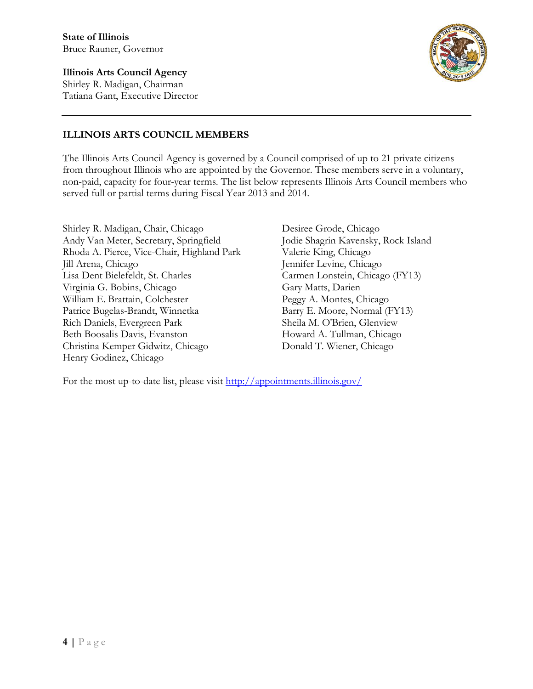**Illinois Arts Council Agency** Shirley R. Madigan, Chairman Tatiana Gant, Executive Director



## **ILLINOIS ARTS COUNCIL MEMBERS**

The Illinois Arts Council Agency is governed by a Council comprised of up to 21 private citizens from throughout Illinois who are appointed by the Governor. These members serve in a voluntary, non-paid, capacity for four-year terms. The list below represents Illinois Arts Council members who served full or partial terms during Fiscal Year 2013 and 2014.

Shirley R. Madigan, Chair, Chicago Andy Van Meter, Secretary, Springfield Rhoda A. Pierce, Vice-Chair, Highland Park Jill Arena, Chicago Lisa Dent Bielefeldt, St. Charles Virginia G. Bobins, Chicago William E. Brattain, Colchester Patrice Bugelas-Brandt, Winnetka Rich Daniels, Evergreen Park Beth Boosalis Davis, Evanston Christina Kemper Gidwitz, Chicago Henry Godinez, Chicago

Desiree Grode, Chicago Jodie Shagrin Kavensky, Rock Island Valerie King, Chicago Jennifer Levine, Chicago Carmen Lonstein, Chicago (FY13) Gary Matts, Darien Peggy A. Montes, Chicago Barry E. Moore, Normal (FY13) Sheila M. O'Brien, Glenview Howard A. Tullman, Chicago Donald T. Wiener, Chicago

For the most up-to-date list, please visit <http://appointments.illinois.gov/>